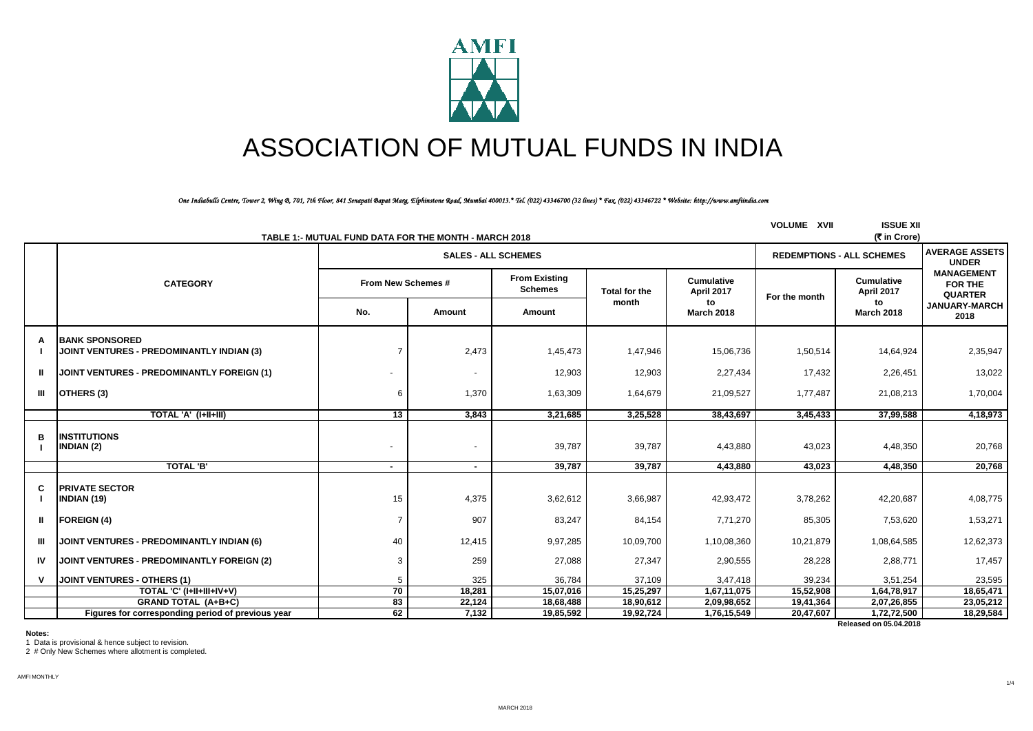

# ASSOCIATION OF MUTUAL FUNDS IN INDIA

*One Indiabulls Centre, Tower 2, Wing B, 701, 7th Floor, 841 Senapati Bapat Marg, Elphinstone Road, Mumbai 400013.\* Tel. (022) 43346700 (32 lines) \* Fax. (022) 43346722 \* Website: http://www.amfiindia.com*

| <b>ISSUE XII</b><br><b>VOLUME XVII</b><br>(₹ in Crore)<br>TABLE 1:- MUTUAL FUND DATA FOR THE MONTH - MARCH 2018 |                                                                           |                    |                                  |                                        |                                       |                                 |               |                                 |                                                       |
|-----------------------------------------------------------------------------------------------------------------|---------------------------------------------------------------------------|--------------------|----------------------------------|----------------------------------------|---------------------------------------|---------------------------------|---------------|---------------------------------|-------------------------------------------------------|
|                                                                                                                 |                                                                           |                    | <b>REDEMPTIONS - ALL SCHEMES</b> |                                        | <b>AVERAGE ASSETS</b><br><b>UNDER</b> |                                 |               |                                 |                                                       |
|                                                                                                                 | <b>CATEGORY</b>                                                           | From New Schemes # |                                  | <b>From Existing</b><br><b>Schemes</b> | Total for the                         | <b>Cumulative</b><br>April 2017 | For the month | <b>Cumulative</b><br>April 2017 | <b>MANAGEMENT</b><br><b>FOR THE</b><br><b>QUARTER</b> |
|                                                                                                                 |                                                                           | No.                | Amount                           | Amount                                 | month                                 | to<br><b>March 2018</b>         |               | to<br><b>March 2018</b>         | <b>JANUARY-MARCH</b><br>2018                          |
| A                                                                                                               | <b>BANK SPONSORED</b><br><b>JOINT VENTURES - PREDOMINANTLY INDIAN (3)</b> | $\overline{7}$     | 2,473                            | 1,45,473                               | 1,47,946                              | 15,06,736                       | 1,50,514      | 14,64,924                       | 2,35,947                                              |
| ш                                                                                                               | <b>JOINT VENTURES - PREDOMINANTLY FOREIGN (1)</b>                         |                    | $\overline{\phantom{a}}$         | 12,903                                 | 12,903                                | 2,27,434                        | 17,432        | 2,26,451                        | 13,022                                                |
| Ш                                                                                                               | OTHERS (3)                                                                | 6                  | 1,370                            | 1,63,309                               | 1,64,679                              | 21,09,527                       | 1,77,487      | 21,08,213                       | 1,70,004                                              |
|                                                                                                                 | TOTAL 'A' (I+II+III)                                                      | $\overline{13}$    | 3,843                            | 3,21,685                               | 3,25,528                              | 38,43,697                       | 3,45,433      | 37,99,588                       | 4,18,973                                              |
| в                                                                                                               | <b>INSTITUTIONS</b><br><b>INDIAN (2)</b>                                  |                    |                                  | 39,787                                 | 39,787                                | 4,43,880                        | 43,023        | 4,48,350                        | 20,768                                                |
|                                                                                                                 | <b>TOTAL 'B'</b>                                                          | $\sim$             | $\blacksquare$                   | 39,787                                 | 39,787                                | 4,43,880                        | 43,023        | 4,48,350                        | 20,768                                                |
| C                                                                                                               | <b>PRIVATE SECTOR</b><br><b>INDIAN (19)</b>                               | 15                 | 4,375                            | 3,62,612                               | 3,66,987                              | 42,93,472                       | 3,78,262      | 42,20,687                       | 4,08,775                                              |
| $\mathbf{I}$                                                                                                    | <b>FOREIGN (4)</b>                                                        | $\overline{7}$     | 907                              | 83,247                                 | 84,154                                | 7,71,270                        | 85,305        | 7,53,620                        | 1,53,271                                              |
| Ш                                                                                                               | <b>JOINT VENTURES - PREDOMINANTLY INDIAN (6)</b>                          | 40                 | 12,415                           | 9,97,285                               | 10,09,700                             | 1,10,08,360                     | 10,21,879     | 1,08,64,585                     | 12,62,373                                             |
| IV                                                                                                              | JOINT VENTURES - PREDOMINANTLY FOREIGN (2)                                | 3                  | 259                              | 27,088                                 | 27,347                                | 2,90,555                        | 28,228        | 2,88,771                        | 17,457                                                |
| $\mathsf{v}$                                                                                                    | <b>JOINT VENTURES - OTHERS (1)</b>                                        | 5                  | 325                              | 36,784                                 | 37,109                                | 3,47,418                        | 39,234        | 3,51,254                        | 23,595                                                |
|                                                                                                                 | TOTAL 'C' (I+II+III+IV+V)                                                 | 70                 | 18,281                           | 15,07,016                              | 15,25,297                             | 1,67,11,075                     | 15,52,908     | 1,64,78,917                     | 18,65,471                                             |
|                                                                                                                 | <b>GRAND TOTAL (A+B+C)</b>                                                | 83                 | 22,124                           | 18,68,488                              | 18,90,612                             | 2,09,98,652                     | 19,41,364     | 2,07,26,855                     | 23,05,212                                             |
|                                                                                                                 | Figures for corresponding period of previous year                         | 62                 | 7,132                            | 19,85,592                              | 19,92,724                             | 1,76,15,549                     | 20,47,607     | 1,72,72,500                     | 18,29,584                                             |

**Notes:**

1 Data is provisional & hence subject to revision.

2 # Only New Schemes where allotment is completed.

AMFI MONTHLY

**Released on 05.04.2018**

1/4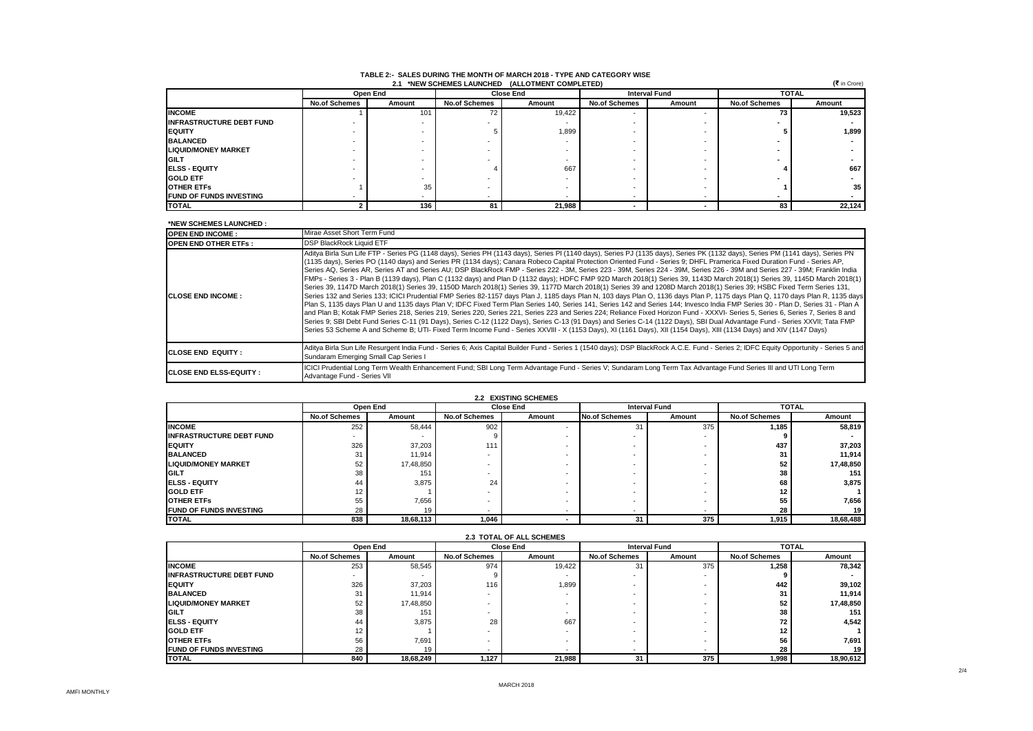#### **TABLE 2:- SALES DURING THE MONTH OF MARCH 2018 - TYPE AND CATEGORY WISE 2.1 \*NEW SCHEMES LAUNCHED (ALLOTMENT COMPLETED)**

|                                 | $(5$ in Crore)<br>2.1 *NEW SCHEMES LAUNCHED (ALLOTMENT COMPLETED) |          |                      |                  |                      |                                      |                      |        |  |
|---------------------------------|-------------------------------------------------------------------|----------|----------------------|------------------|----------------------|--------------------------------------|----------------------|--------|--|
|                                 |                                                                   | Open End |                      | <b>Close End</b> |                      | <b>Interval Fund</b><br><b>TOTAL</b> |                      |        |  |
|                                 | <b>No.of Schemes</b>                                              | Amount   | <b>No.of Schemes</b> | Amount           | <b>No.of Schemes</b> | Amount                               | <b>No.of Schemes</b> | Amount |  |
| <b>INCOME</b>                   |                                                                   | 101      | 72                   | 19,422           |                      | -                                    | 73                   | 19,523 |  |
| <b>INFRASTRUCTURE DEBT FUND</b> |                                                                   |          |                      |                  |                      |                                      |                      |        |  |
| <b>IEQUITY</b>                  |                                                                   |          |                      | 1,899            |                      |                                      |                      | 1,899  |  |
| <b>BALANCED</b>                 |                                                                   |          |                      |                  |                      |                                      |                      |        |  |
| <b>LIQUID/MONEY MARKET</b>      |                                                                   |          |                      |                  |                      |                                      |                      |        |  |
| <b>GILT</b>                     |                                                                   |          |                      |                  |                      |                                      |                      |        |  |
| <b>IELSS - EQUITY</b>           |                                                                   |          |                      | 667              |                      |                                      |                      | 667    |  |
| <b>GOLD ETF</b>                 |                                                                   |          |                      |                  |                      |                                      |                      |        |  |
| <b>OTHER ETFS</b>               |                                                                   | 35       |                      |                  |                      |                                      |                      | 35     |  |
| <b>FUND OF FUNDS INVESTING</b>  |                                                                   |          |                      |                  |                      |                                      |                      |        |  |
| <b>TOTAL</b>                    |                                                                   | 136      | 81                   | 21,988           |                      |                                      | 83                   | 22,124 |  |

#### **\*NEW SCHEMES LAUNCHED :**

| <b>OPEN END INCOME:</b>         | Mirae Asset Short Term Fund                                                                                                                                                                                                                                                                                                                                                                                                                                                                                                                                                                                                                                                                                                                                                                                                                                                                                                                                                                                                                                                                                                                                                                                                                                                                                                                                                                                                                                                                                                                                                                                                                                                                                                                                                                                       |
|---------------------------------|-------------------------------------------------------------------------------------------------------------------------------------------------------------------------------------------------------------------------------------------------------------------------------------------------------------------------------------------------------------------------------------------------------------------------------------------------------------------------------------------------------------------------------------------------------------------------------------------------------------------------------------------------------------------------------------------------------------------------------------------------------------------------------------------------------------------------------------------------------------------------------------------------------------------------------------------------------------------------------------------------------------------------------------------------------------------------------------------------------------------------------------------------------------------------------------------------------------------------------------------------------------------------------------------------------------------------------------------------------------------------------------------------------------------------------------------------------------------------------------------------------------------------------------------------------------------------------------------------------------------------------------------------------------------------------------------------------------------------------------------------------------------------------------------------------------------|
| <b>OPEN END OTHER ETFS:</b>     | <b>DSP BlackRock Liquid ETF</b>                                                                                                                                                                                                                                                                                                                                                                                                                                                                                                                                                                                                                                                                                                                                                                                                                                                                                                                                                                                                                                                                                                                                                                                                                                                                                                                                                                                                                                                                                                                                                                                                                                                                                                                                                                                   |
| <b>ICLOSE END INCOME:</b>       | Aditya Birla Sun Life FTP - Series PG (1148 days), Series PH (1143 days), Series PI (1140 days), Series PJ (1135 days), Series PK (1132 days), Series PM (1141 days), Series PN<br>(1135 days), Series PO (1140 days) and Series PR (1134 days); Canara Robeco Capital Protection Oriented Fund - Series 9; DHFL Pramerica Fixed Duration Fund - Series AP,<br>Series AQ, Series AR, Series AT and Series AU; DSP BlackRock FMP - Series 222 - 3M, Series 223 - 39M, Series 224 - 39M, Series 226 - 39M and Series 227 - 39M; Franklin India<br>FMPs - Series 3 - Plan B (1139 days), Plan C (1132 days) and Plan D (1132 days); HDFC FMP 92D March 2018(1) Series 39, 1143D March 2018(1) Series 39, 1145D March 2018(1)<br>Series 39, 1147D March 2018(1) Series 39, 1150D March 2018(1) Series 39, 1177D March 2018(1) Series 39 and 1208D March 2018(1) Series 39; HSBC Fixed Term Series 131,<br>Series 132 and Series 133; ICICI Prudential FMP Series 82-1157 days Plan J, 1185 days Plan N, 103 days Plan O, 1136 days Plan P, 1175 days Plan Q, 1170 days Plan R, 1135 days<br>Plan S, 1135 days Plan U and 1135 days Plan V; IDFC Fixed Term Plan Series 140, Series 141, Series 142 and Series 144; Invesco India FMP Series 30 - Plan D, Series 31 - Plan A<br>and Plan B: Kotak FMP Series 218, Series 219, Series 220, Series 221, Series 223 and Series 224; Reliance Fixed Horizon Fund - XXXVI- Series 5, Series 6, Series 7, Series 8 and<br>Series 9; SBI Debt Fund Series C-11 (91 Days), Series C-12 (1122 Days), Series C-13 (91 Days) and Series C-14 (1122 Days), SBI Dual Advantage Fund - Series XXVII; Tata FMP<br>Series 53 Scheme A and Scheme B; UTI- Fixed Term Income Fund - Series XXVIII - X (1153 Days), XI (1161 Days), XII (1154 Days), XIII (1134 Days) and XIV (1147 Days) |
| <b>CLOSE END EQUITY:</b>        | Aditya Birla Sun Life Resurgent India Fund - Series 6; Axis Capital Builder Fund - Series 1 (1540 days); DSP BlackRock A.C.E. Fund - Series 2; IDFC Equity Opportunity - Series 5 and<br>Sundaram Emerging Small Cap Series I                                                                                                                                                                                                                                                                                                                                                                                                                                                                                                                                                                                                                                                                                                                                                                                                                                                                                                                                                                                                                                                                                                                                                                                                                                                                                                                                                                                                                                                                                                                                                                                     |
| <b>ICLOSE END ELSS-EQUITY :</b> | ICICI Prudential Long Term Wealth Enhancement Fund; SBI Long Term Advantage Fund - Series V; Sundaram Long Term Tax Advantage Fund Series III and UTI Long Term<br>Advantage Fund - Series VII                                                                                                                                                                                                                                                                                                                                                                                                                                                                                                                                                                                                                                                                                                                                                                                                                                                                                                                                                                                                                                                                                                                                                                                                                                                                                                                                                                                                                                                                                                                                                                                                                    |

| 2.2 EXISTING SCHEMES            |                      |           |                          |                  |                          |                          |                      |           |
|---------------------------------|----------------------|-----------|--------------------------|------------------|--------------------------|--------------------------|----------------------|-----------|
|                                 |                      | Open End  |                          | <b>Close End</b> |                          | <b>Interval Fund</b>     | <b>TOTAL</b>         |           |
|                                 | <b>No.of Schemes</b> | Amount    | <b>No.of Schemes</b>     | Amount           | <b>No.of Schemes</b>     | Amount                   | <b>No.of Schemes</b> | Amount    |
| <b>INCOME</b>                   | 252                  | 58,444    | 902                      | -                | 31                       | 375                      | 1,185                | 58,819    |
| <b>INFRASTRUCTURE DEBT FUND</b> | ۰                    |           |                          |                  |                          | $\overline{\phantom{a}}$ |                      |           |
| <b>IEQUITY</b>                  | 326                  | 37,203    | 111                      |                  |                          | $\overline{\phantom{a}}$ | 437                  | 37,203    |
| <b>BALANCED</b>                 | 31                   | 11,914    |                          |                  |                          | $\overline{\phantom{a}}$ | 31                   | 11.914    |
| <b>LIQUID/MONEY MARKET</b>      | 52                   | 17,48,850 |                          |                  |                          | $\overline{\phantom{a}}$ | 52                   | 17,48,850 |
| <b>IGILT</b>                    | 38                   | 151       |                          |                  |                          | $\overline{\phantom{a}}$ | 38                   | 151       |
| <b>IELSS - EQUITY</b>           | 44                   | 3.875     | 24                       |                  |                          | $\overline{\phantom{a}}$ | 68                   | 3,875     |
| <b>IGOLD ETF</b>                | 12                   |           |                          |                  |                          | -                        | 12                   |           |
| <b>OTHER ETFS</b>               | 55                   | 7,656     | <b>.</b>                 |                  |                          |                          | 55                   | 7.656     |
| <b>FUND OF FUNDS INVESTING</b>  | 28                   |           | $\overline{\phantom{a}}$ |                  | $\overline{\phantom{a}}$ |                          | 28                   | 19        |
| <b>ITOTAL</b>                   | 838                  | 18,68,113 | 1,046                    |                  | 31                       | 375                      | 1,915                | 18,68,488 |

| <b>2.3 TOTAL OF ALL SCHEMES</b> |                      |           |                      |                  |                      |        |                      |           |
|---------------------------------|----------------------|-----------|----------------------|------------------|----------------------|--------|----------------------|-----------|
|                                 |                      | Open End  |                      | <b>Close End</b> | <b>Interval Fund</b> |        | <b>TOTAL</b>         |           |
|                                 | <b>No.of Schemes</b> | Amount    | <b>No.of Schemes</b> | Amount           | <b>No.of Schemes</b> | Amount | <b>No.of Schemes</b> | Amount    |
| <b>INCOME</b>                   | 253                  | 58,545    | 974                  | 19,422           | 31                   | 375    | 1.258                | 78.342    |
| <b>INFRASTRUCTURE DEBT FUND</b> |                      |           |                      |                  |                      |        |                      |           |
| <b>IEQUITY</b>                  | 326                  | 37,203    | 116                  | 1,899            |                      |        | 442                  | 39,102    |
| <b>BALANCED</b>                 | 31                   | 11,914    |                      |                  |                      |        | 31                   | 11,914    |
| <b>LIQUID/MONEY MARKET</b>      | 52                   | 17,48,850 |                      |                  |                      |        | 52                   | 17,48,850 |
| GILT                            | 38                   | 151       |                      |                  |                      |        | 38                   | 151       |
| <b>IELSS - EQUITY</b>           | 44                   | 3,875     | 28                   | 667              |                      |        | 72                   | 4,542     |
| <b>GOLD ETF</b>                 | 12                   |           |                      |                  |                      |        | 12                   |           |
| <b>OTHER ETFS</b>               | 56                   | 7.691     |                      |                  |                      |        | 56                   | 7,691     |
| <b>FUND OF FUNDS INVESTING</b>  | 28                   | 19        |                      |                  |                      |        | 28                   | 19        |
| <b>TOTAL</b>                    | 840                  | 18,68,249 | 1,127                | 21,988           | 31                   | 375    | 1,998                | 18,90,612 |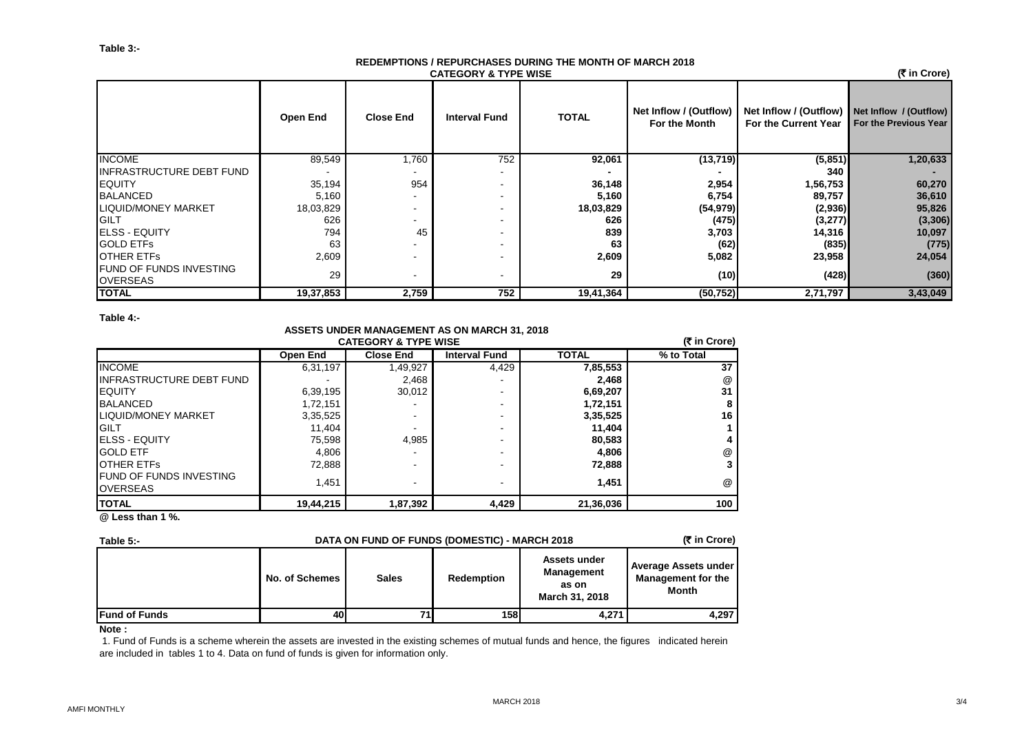#### **REDEMPTIONS / REPURCHASES DURING THE MONTH OF MARCH 2018 CATEGORY & TYPE WISE**

 **(**` **in Crore)**

|                                                   | Open End  | <b>Close End</b> | <b>Interval Fund</b> | <b>TOTAL</b> | Net Inflow / (Outflow)<br>For the Month | Net Inflow / (Outflow)<br>For the Current Year | Net Inflow / (Outflow)<br>For the Previous Year |
|---------------------------------------------------|-----------|------------------|----------------------|--------------|-----------------------------------------|------------------------------------------------|-------------------------------------------------|
| <b>INCOME</b>                                     | 89,549    | 1,760            | 752                  | 92,061       | (13, 719)                               | (5, 851)                                       | 1,20,633                                        |
| <b>INFRASTRUCTURE DEBT FUND</b>                   |           |                  | ۰.                   |              |                                         | 340                                            |                                                 |
| <b>EQUITY</b>                                     | 35,194    | 954              | ۰.                   | 36,148       | 2,954                                   | 1,56,753                                       | 60,270                                          |
| <b>BALANCED</b>                                   | 5,160     |                  | -                    | 5,160        | 6,754                                   | 89,757                                         | 36,610                                          |
| LIQUID/MONEY MARKET                               | 18,03,829 |                  | $\sim$               | 18,03,829    | (54, 979)                               | (2,936)                                        | 95,826                                          |
| GILT                                              | 626       |                  | -                    | 626          | (475)                                   | (3, 277)                                       | (3,306)                                         |
| <b>IELSS - EQUITY</b>                             | 794       | 45               |                      | 839          | 3,703                                   | 14,316                                         | 10,097                                          |
| <b>GOLD ETFS</b>                                  | 63        |                  | ۰                    | 63           | (62)                                    | (835)                                          | (775)                                           |
| <b>OTHER ETFS</b>                                 | 2,609     |                  |                      | 2,609        | 5,082                                   | 23,958                                         | 24,054                                          |
| <b>FUND OF FUNDS INVESTING</b><br><b>OVERSEAS</b> | 29        |                  | $\,$                 | 29           | (10)                                    | (428)                                          | (360)                                           |
| <b>TOTAL</b>                                      | 19,37,853 | 2,759            | 752                  | 19,41,364    | (50, 752)                               | 2,71,797                                       | 3,43,049                                        |

### **Table 4:-**

## **ASSETS UNDER MANAGEMENT AS ON MARCH 31, 2018**

| <b>CATEGORY &amp; TYPE WISE</b>                    |           |                          |                      |              |            |  |  |
|----------------------------------------------------|-----------|--------------------------|----------------------|--------------|------------|--|--|
|                                                    | Open End  | <b>Close End</b>         | <b>Interval Fund</b> | <b>TOTAL</b> | % to Total |  |  |
| <b>INCOME</b>                                      | 6,31,197  | 1,49,927                 | 4,429                | 7,85,553     | 37         |  |  |
| <b>INFRASTRUCTURE DEBT FUND</b>                    |           | 2,468                    |                      | 2,468        | @          |  |  |
| <b>IEQUITY</b>                                     | 6,39,195  | 30,012                   | -                    | 6,69,207     | 31         |  |  |
| <b>BALANCED</b>                                    | 1,72,151  |                          | -                    | 1,72,151     | 8          |  |  |
| <b>ILIQUID/MONEY MARKET</b>                        | 3,35,525  |                          | -                    | 3,35,525     | 16         |  |  |
| <b>IGILT</b>                                       | 11,404    |                          | -                    | 11,404       |            |  |  |
| <b>IELSS - EQUITY</b>                              | 75,598    | 4,985                    | -                    | 80,583       |            |  |  |
| <b>IGOLD ETF</b>                                   | 4,806     |                          | -                    | 4,806        | @          |  |  |
| <b>IOTHER ETFS</b>                                 | 72,888    | $\overline{\phantom{0}}$ | -                    | 72,888       | 3          |  |  |
| <b>IFUND OF FUNDS INVESTING</b><br><b>OVERSEAS</b> | 1.451     | $\,$                     | ۰                    | 1,451        | @          |  |  |
| <b>ITOTAL</b>                                      | 19,44,215 | 1,87,392                 | 4,429                | 21,36,036    | 100        |  |  |
| $21 - 11 - 11 = 401$                               |           |                          |                      |              |            |  |  |

**@ Less than 1 %.**

| Table 5:-             | DATA ON FUND OF FUNDS (DOMESTIC) - MARCH 2018 | (₹ in Crore) |                   |                                                              |                                                            |
|-----------------------|-----------------------------------------------|--------------|-------------------|--------------------------------------------------------------|------------------------------------------------------------|
|                       | No. of Schemes                                | <b>Sales</b> | <b>Redemption</b> | Assets under<br><b>Management</b><br>as on<br>March 31, 2018 | Average Assets under<br><b>Management for the</b><br>Month |
| <b>IFund of Funds</b> | 40                                            | 71           | <b>158</b>        | 4.271                                                        | 4.297                                                      |

## **Note :**

 1. Fund of Funds is a scheme wherein the assets are invested in the existing schemes of mutual funds and hence, the figures indicated herein are included in tables 1 to 4. Data on fund of funds is given for information only.